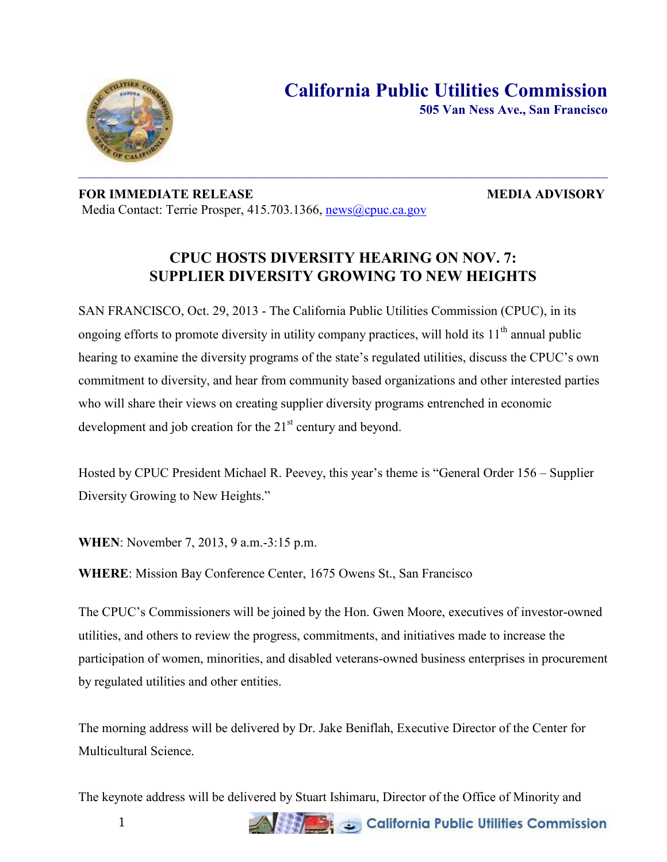

**505 Van Ness Ave., San Francisco**

## **FOR IMMEDIATE RELEASE MEDIA ADVISORY** Media Contact: Terrie Prosper, 415.703.1366, [news@cpuc.ca.gov](mailto:news@cpuc.ca.gov)

## **CPUC HOSTS DIVERSITY HEARING ON NOV. 7: SUPPLIER DIVERSITY GROWING TO NEW HEIGHTS**

SAN FRANCISCO, Oct. 29, 2013 - The California Public Utilities Commission (CPUC), in its ongoing efforts to promote diversity in utility company practices, will hold its  $11<sup>th</sup>$  annual public hearing to examine the diversity programs of the state's regulated utilities, discuss the CPUC's own commitment to diversity, and hear from community based organizations and other interested parties who will share their views on creating supplier diversity programs entrenched in economic development and job creation for the  $21<sup>st</sup>$  century and beyond.

Hosted by CPUC President Michael R. Peevey, this year's theme is "General Order 156 – Supplier Diversity Growing to New Heights."

**WHEN**: November 7, 2013, 9 a.m.-3:15 p.m.

**WHERE**: Mission Bay Conference Center, 1675 Owens St., San Francisco

The CPUC's Commissioners will be joined by the Hon. Gwen Moore, executives of investor-owned utilities, and others to review the progress, commitments, and initiatives made to increase the participation of women, minorities, and disabled veterans-owned business enterprises in procurement by regulated utilities and other entities.

The morning address will be delivered by Dr. Jake Beniflah, Executive Director of the Center for Multicultural Science.

The keynote address will be delivered by Stuart Ishimaru, Director of the Office of Minority and

California Public Utilities Commission